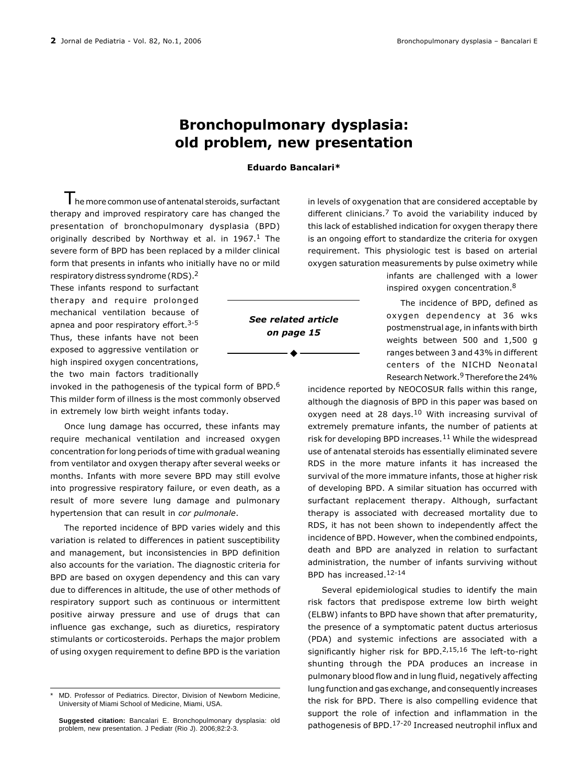## Bronchopulmonary dysplasia: old problem, new presentation

## Eduardo Bancalari\*

 $\mathsf T$ he more common use of antenatal steroids, surfactant therapy and improved respiratory care has changed the presentation of bronchopulmonary dysplasia (BPD) originally described by Northway et al. in  $1967<sup>1</sup>$  The severe form of BPD has been replaced by a milder clinical form that presents in infants who initially have no or mild

respiratory distress syndrome (RDS).2 These infants respond to surfactant therapy and require prolonged mechanical ventilation because of apnea and poor respiratory effort.<sup>3-5</sup> Thus, these infants have not been exposed to aggressive ventilation or high inspired oxygen concentrations, the two main factors traditionally

invoked in the pathogenesis of the typical form of BPD.6 This milder form of illness is the most commonly observed in extremely low birth weight infants today.

Once lung damage has occurred, these infants may require mechanical ventilation and increased oxygen concentration for long periods of time with gradual weaning from ventilator and oxygen therapy after several weeks or months. Infants with more severe BPD may still evolve into progressive respiratory failure, or even death, as a result of more severe lung damage and pulmonary hypertension that can result in cor pulmonale.

The reported incidence of BPD varies widely and this variation is related to differences in patient susceptibility and management, but inconsistencies in BPD definition also accounts for the variation. The diagnostic criteria for BPD are based on oxygen dependency and this can vary due to differences in altitude, the use of other methods of respiratory support such as continuous or intermittent positive airway pressure and use of drugs that can influence gas exchange, such as diuretics, respiratory stimulants or corticosteroids. Perhaps the major problem of using oxygen requirement to define BPD is the variation in levels of oxygenation that are considered acceptable by different clinicians.<sup>7</sup> To avoid the variability induced by this lack of established indication for oxygen therapy there is an ongoing effort to standardize the criteria for oxygen requirement. This physiologic test is based on arterial oxygen saturation measurements by pulse oximetry while

> infants are challenged with a lower inspired oxygen concentration.8

> The incidence of BPD, defined as oxygen dependency at 36 wks postmenstrual age, in infants with birth weights between 500 and 1,500 g ranges between 3 and 43% in different centers of the NICHD Neonatal Research Network.9 Therefore the 24%

incidence reported by NEOCOSUR falls within this range, although the diagnosis of BPD in this paper was based on oxygen need at 28 days.<sup>10</sup> With increasing survival of extremely premature infants, the number of patients at risk for developing BPD increases. $11$  While the widespread use of antenatal steroids has essentially eliminated severe RDS in the more mature infants it has increased the survival of the more immature infants, those at higher risk of developing BPD. A similar situation has occurred with surfactant replacement therapy. Although, surfactant therapy is associated with decreased mortality due to RDS, it has not been shown to independently affect the incidence of BPD. However, when the combined endpoints, death and BPD are analyzed in relation to surfactant administration, the number of infants surviving without BPD has increased.12-14

Several epidemiological studies to identify the main risk factors that predispose extreme low birth weight (ELBW) infants to BPD have shown that after prematurity, the presence of a symptomatic patent ductus arteriosus (PDA) and systemic infections are associated with a significantly higher risk for BPD.2,15,16 The left-to-right shunting through the PDA produces an increase in pulmonary blood flow and in lung fluid, negatively affecting lung function and gas exchange, and consequently increases the risk for BPD. There is also compelling evidence that support the role of infection and inflammation in the pathogenesis of BPD.17-20 Increased neutrophil influx and

See related article on page 15

MD. Professor of Pediatrics. Director, Division of Newborn Medicine, University of Miami School of Medicine, Miami, USA.

**Suggested citation:** Bancalari E. Bronchopulmonary dysplasia: old problem, new presentation. J Pediatr (Rio J). 2006;82:2-3.